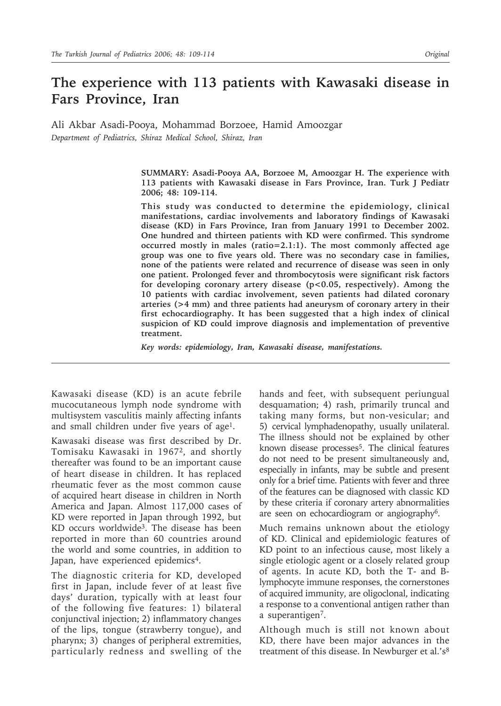# **The experience with 113 patients with Kawasaki disease in Fars Province, Iran**

Ali Akbar Asadi-Pooya, Mohammad Borzoee, Hamid Amoozgar *Department of Pediatrics, Shiraz Medical School, Shiraz, Iran* 

> **SUMMARY: Asadi-Pooya AA, Borzoee M, Amoozgar H. The experience with 113 patients with Kawasaki disease in Fars Province, Iran. Turk J Pediatr 2006; 48: 109-114.**

> **This study was conducted to determine the epidemiology, clinical manifestations, cardiac involvements and laboratory findings of Kawasaki disease (KD) in Fars Province, Iran from January 1991 to December 2002. One hundred and thirteen patients with KD were confirmed. This syndrome occurred mostly in males (ratio=2.1:1). The most commonly affected age group was one to five years old. There was no secondary case in families, none of the patients were related and recurrence of disease was seen in only one patient. Prolonged fever and thrombocytosis were significant risk factors for developing coronary artery disease (p<0.05, respectively). Among the 10 patients with cardiac involvement, seven patients had dilated coronary arteries (>4 mm) and three patients had aneurysm of coronary artery in their first echocardiography. It has been suggested that a high index of clinical suspicion of KD could improve diagnosis and implementation of preventive treatment.**

*Key words: epidemiology, Iran, Kawasaki disease, manifestations.*

Kawasaki disease (KD) is an acute febrile mucocutaneous lymph node syndrome with multisystem vasculitis mainly affecting infants and small children under five years of age<sup>1</sup>.

Kawasaki disease was first described by Dr. Tomisaku Kawasaki in 19672, and shortly thereafter was found to be an important cause of heart disease in children. It has replaced rheumatic fever as the most common cause of acquired heart disease in children in North America and Japan. Almost 117,000 cases of KD were reported in Japan through 1992, but KD occurs worldwide3. The disease has been reported in more than 60 countries around the world and some countries, in addition to Japan, have experienced epidemics<sup>4</sup>.

The diagnostic criteria for KD, developed first in Japan, include fever of at least five days' duration, typically with at least four of the following five features: 1) bilateral conjunctival injection; 2) inflammatory changes of the lips, tongue (strawberry tongue), and pharynx; 3) changes of peripheral extremities, particularly redness and swelling of the hands and feet, with subsequent periungual desquamation; 4) rash, primarily truncal and taking many forms, but non-vesicular; and 5) cervical lymphadenopathy, usually unilateral. The illness should not be explained by other known disease processes<sup>5</sup>. The clinical features do not need to be present simultaneously and, especially in infants, may be subtle and present only for a brief time. Patients with fever and three of the features can be diagnosed with classic KD by these criteria if coronary artery abnormalities are seen on echocardiogram or angiography6.

Much remains unknown about the etiology of KD. Clinical and epidemiologic features of KD point to an infectious cause, most likely a single etiologic agent or a closely related group of agents. In acute KD, both the T- and Blymphocyte immune responses, the cornerstones of acquired immunity, are oligoclonal, indicating a response to a conventional antigen rather than a superantigen7.

Although much is still not known about KD, there have been major advances in the treatment of this disease. In Newburger et al.'s $8$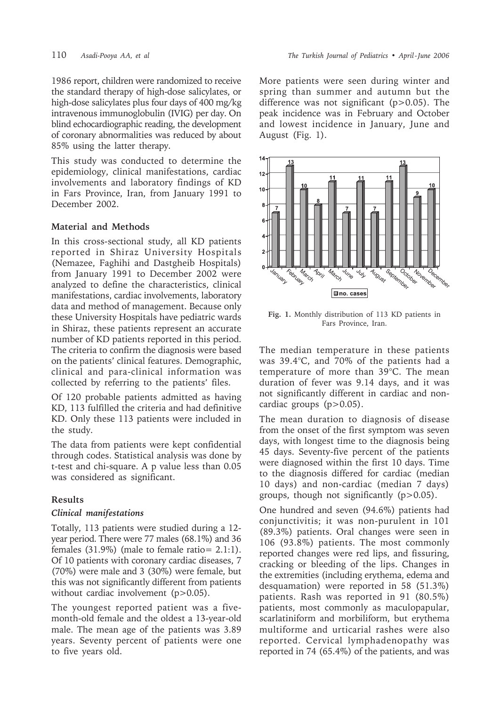1986 report, children were randomized to receive the standard therapy of high-dose salicylates, or high-dose salicylates plus four days of 400 mg/kg intravenous immunoglobulin (IVIG) per day. On blind echocardiographic reading, the development of coronary abnormalities was reduced by about 85% using the latter therapy.

This study was conducted to determine the epidemiology, clinical manifestations, cardiac involvements and laboratory findings of KD in Fars Province, Iran, from January 1991 to December 2002.

### **Material and Methods**

In this cross-sectional study, all KD patients reported in Shiraz University Hospitals (Nemazee, Faghihi and Dastgheib Hospitals) from January 1991 to December 2002 were analyzed to define the characteristics, clinical manifestations, cardiac involvements, laboratory data and method of management. Because only these University Hospitals have pediatric wards in Shiraz, these patients represent an accurate number of KD patients reported in this period. The criteria to confirm the diagnosis were based on the patients' clinical features. Demographic, clinical and para-clinical information was collected by referring to the patients' files.

Of 120 probable patients admitted as having KD, 113 fulfilled the criteria and had definitive KD. Only these 113 patients were included in the study.

The data from patients were kept confidential through codes. Statistical analysis was done by t-test and chi-square. A p value less than 0.05 was considered as significant.

### **Results**

### *Clinical manifestations*

Totally, 113 patients were studied during a 12 year period. There were 77 males (68.1%) and 36 females (31.9%) (male to female ratio= 2.1:1). Of 10 patients with coronary cardiac diseases, 7 (70%) were male and 3 (30%) were female, but this was not significantly different from patients without cardiac involvement (p>0.05).

The youngest reported patient was a fivemonth-old female and the oldest a 13-year-old male. The mean age of the patients was 3.89 years. Seventy percent of patients were one to five years old.

More patients were seen during winter and spring than summer and autumn but the difference was not significant  $(p>0.05)$ . The peak incidence was in February and October and lowest incidence in January, June and August (Fig. 1).



**Fig. 1.** Monthly distribution of 113 KD patients in Fars Province, Iran.

The median temperature in these patients was 39.4°C, and 70% of the patients had a temperature of more than 39°C. The mean duration of fever was 9.14 days, and it was not significantly different in cardiac and noncardiac groups  $(p>0.05)$ .

The mean duration to diagnosis of disease from the onset of the first symptom was seven days, with longest time to the diagnosis being 45 days. Seventy-five percent of the patients were diagnosed within the first 10 days. Time to the diagnosis differed for cardiac (median 10 days) and non-cardiac (median 7 days) groups, though not significantly (p>0.05).

One hundred and seven (94.6%) patients had conjunctivitis; it was non-purulent in 101 (89.3%) patients. Oral changes were seen in 106 (93.8%) patients. The most commonly reported changes were red lips, and fissuring, cracking or bleeding of the lips. Changes in the extremities (including erythema, edema and desquamation) were reported in 58 (51.3%) patients. Rash was reported in 91 (80.5%) patients, most commonly as maculopapular, scarlatiniform and morbiliform, but erythema multiforme and urticarial rashes were also reported. Cervical lymphadenopathy was reported in 74 (65.4%) of the patients, and was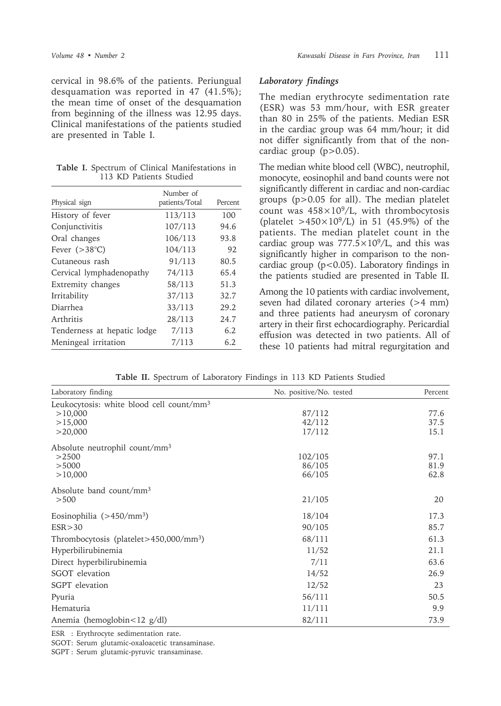cervical in 98.6% of the patients. Periungual desquamation was reported in 47 (41.5%); the mean time of onset of the desquamation from beginning of the illness was 12.95 days. Clinical manifestations of the patients studied are presented in Table I.

|                         |  | Table I. Spectrum of Clinical Manifestations in |  |  |
|-------------------------|--|-------------------------------------------------|--|--|
| 113 KD Patients Studied |  |                                                 |  |  |

|                             | Number of      |         |
|-----------------------------|----------------|---------|
| Physical sign               | patients/Total | Percent |
| History of fever            | 113/113        | 100     |
| Conjunctivitis              | 107/113        | 94.6    |
| Oral changes                | 106/113        | 93.8    |
| Fever $(>38^{\circ}C)$      | 104/113        | 92      |
| Cutaneous rash              | 91/113         | 80.5    |
| Cervical lymphadenopathy    | 74/113         | 65.4    |
| Extremity changes           | 58/113         | 51.3    |
| Irritability                | 37/113         | 32.7    |
| Diarrhea                    | 33/113         | 29.2    |
| Arthritis                   | 28/113         | 24.7    |
| Tenderness at hepatic lodge | 7/113          | 6.2     |
| Meningeal irritation        | 7/113          | 6.2     |

#### *Laboratory findings*

The median erythrocyte sedimentation rate (ESR) was 53 mm/hour, with ESR greater than 80 in 25% of the patients. Median ESR in the cardiac group was 64 mm/hour; it did not differ significantly from that of the noncardiac group  $(p>0.05)$ .

The median white blood cell (WBC), neutrophil, monocyte, eosinophil and band counts were not significantly different in cardiac and non-cardiac groups (p>0.05 for all). The median platelet count was  $458\times10^9$ /L, with thrombocytosis (platelet  $>450\times10^{9}/L$ ) in 51 (45.9%) of the patients. The median platelet count in the cardiac group was  $777.5 \times 10^9$ /L, and this was significantly higher in comparison to the noncardiac group ( $p < 0.05$ ). Laboratory findings in the patients studied are presented in Table II.

Among the 10 patients with cardiac involvement, seven had dilated coronary arteries (>4 mm) and three patients had aneurysm of coronary artery in their first echocardiography. Pericardial effusion was detected in two patients. All of these 10 patients had mitral regurgitation and

**Table II.** Spectrum of Laboratory Findings in 113 KD Patients Studied

| Laboratory finding                                   | No. positive/No. tested | Percent |
|------------------------------------------------------|-------------------------|---------|
| Leukocytosis: white blood cell count/mm <sup>3</sup> |                         |         |
| >10,000                                              | 87/112                  | 77.6    |
| >15,000                                              | 42/112                  | 37.5    |
| >20,000                                              | 17/112                  | 15.1    |
| Absolute neutrophil count/mm <sup>3</sup>            |                         |         |
| >2500                                                | 102/105                 | 97.1    |
| > 5000                                               | 86/105                  | 81.9    |
| >10,000                                              | 66/105                  | 62.8    |
| Absolute band count/mm <sup>3</sup>                  |                         |         |
| > 500                                                | 21/105                  | 20      |
| Eosinophilia $(>450/mm^3)$                           | 18/104                  | 17.3    |
| ESR > 30                                             | 90/105                  | 85.7    |
| Thrombocytosis (platelet>450,000/mm <sup>3</sup> )   | 68/111                  | 61.3    |
| Hyperbilirubinemia                                   | 11/52                   | 21.1    |
| Direct hyperbilirubinemia                            | 7/11                    | 63.6    |
| SGOT elevation                                       | 14/52                   | 26.9    |
| SGPT elevation                                       | 12/52                   | 23      |
| Pyuria                                               | 56/111                  | 50.5    |
| Hematuria                                            | 11/111                  | 9.9     |
| Anemia (hemoglobin $\lt 12$ g/dl)                    | 82/111                  | 73.9    |

ESR : Erythrocyte sedimentation rate.

SGOT: Serum glutamic-oxaloacetic transaminase.

SGPT : Serum glutamic-pyruvic transaminase.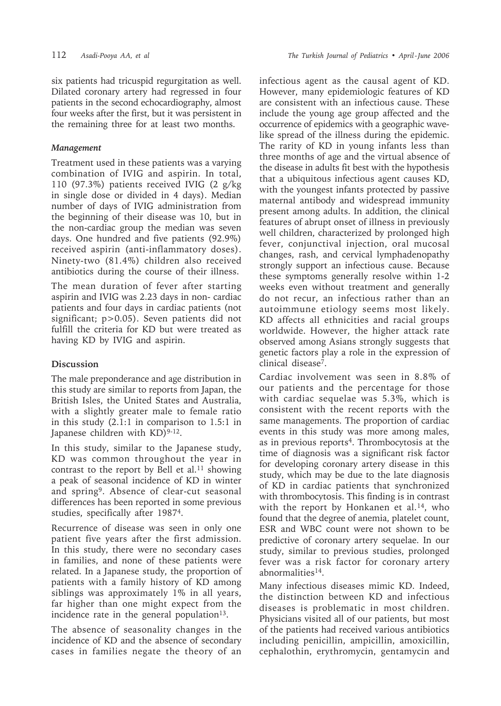six patients had tricuspid regurgitation as well. Dilated coronary artery had regressed in four patients in the second echocardiography, almost four weeks after the first, but it was persistent in the remaining three for at least two months.

## *Management*

Treatment used in these patients was a varying combination of IVIG and aspirin. In total, 110 (97.3%) patients received IVIG (2 g/kg in single dose or divided in 4 days). Median number of days of IVIG administration from the beginning of their disease was 10, but in the non-cardiac group the median was seven days. One hundred and five patients (92.9%) received aspirin (anti-inflammatory doses). Ninety-two (81.4%) children also received antibiotics during the course of their illness.

The mean duration of fever after starting aspirin and IVIG was 2.23 days in non- cardiac patients and four days in cardiac patients (not significant; p>0.05). Seven patients did not fulfill the criteria for KD but were treated as having KD by IVIG and aspirin.

# **Discussion**

The male preponderance and age distribution in this study are similar to reports from Japan, the British Isles, the United States and Australia, with a slightly greater male to female ratio in this study (2.1:1 in comparison to 1.5:1 in Japanese children with  $KD$ <sup>9-12</sup>.

In this study, similar to the Japanese study, KD was common throughout the year in contrast to the report by Bell et al.<sup>11</sup> showing a peak of seasonal incidence of KD in winter and spring9. Absence of clear-cut seasonal differences has been reported in some previous studies, specifically after 19874.

Recurrence of disease was seen in only one patient five years after the first admission. In this study, there were no secondary cases in families, and none of these patients were related. In a Japanese study, the proportion of patients with a family history of KD among siblings was approximately 1% in all years, far higher than one might expect from the incidence rate in the general population $13$ .

The absence of seasonality changes in the incidence of KD and the absence of secondary cases in families negate the theory of an

infectious agent as the causal agent of KD. However, many epidemiologic features of KD are consistent with an infectious cause. These include the young age group affected and the occurrence of epidemics with a geographic wavelike spread of the illness during the epidemic. The rarity of KD in young infants less than three months of age and the virtual absence of the disease in adults fit best with the hypothesis that a ubiquitous infectious agent causes KD, with the youngest infants protected by passive maternal antibody and widespread immunity present among adults. In addition, the clinical features of abrupt onset of illness in previously well children, characterized by prolonged high fever, conjunctival injection, oral mucosal changes, rash, and cervical lymphadenopathy strongly support an infectious cause. Because these symptoms generally resolve within 1-2 weeks even without treatment and generally do not recur, an infectious rather than an autoimmune etiology seems most likely. KD affects all ethnicities and racial groups worldwide. However, the higher attack rate observed among Asians strongly suggests that genetic factors play a role in the expression of clinical disease7.

Cardiac involvement was seen in 8.8% of our patients and the percentage for those with cardiac sequelae was 5.3%, which is consistent with the recent reports with the same managements. The proportion of cardiac events in this study was more among males, as in previous reports4. Thrombocytosis at the time of diagnosis was a significant risk factor for developing coronary artery disease in this study, which may be due to the late diagnosis of KD in cardiac patients that synchronized with thrombocytosis. This finding is in contrast with the report by Honkanen et al.<sup>14</sup>, who found that the degree of anemia, platelet count, ESR and WBC count were not shown to be predictive of coronary artery sequelae. In our study, similar to previous studies, prolonged fever was a risk factor for coronary artery abnormalities14.

Many infectious diseases mimic KD. Indeed, the distinction between KD and infectious diseases is problematic in most children. Physicians visited all of our patients, but most of the patients had received various antibiotics including penicillin, ampicillin, amoxicillin, cephalothin, erythromycin, gentamycin and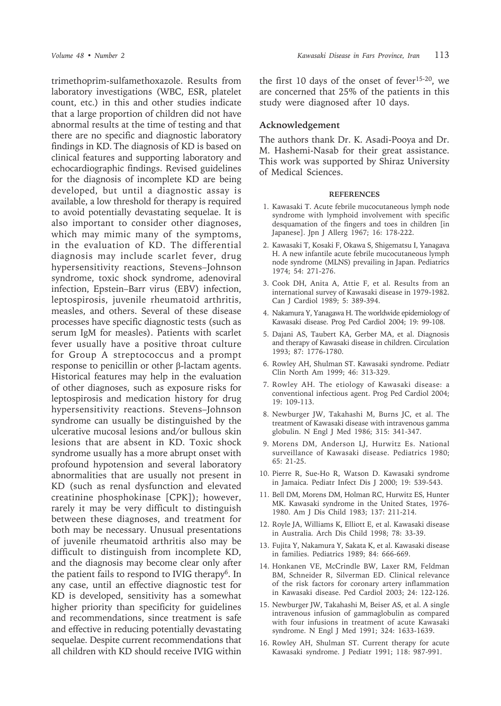trimethoprim-sulfamethoxazole. Results from laboratory investigations (WBC, ESR, platelet count, etc.) in this and other studies indicate that a large proportion of children did not have abnormal results at the time of testing and that there are no specific and diagnostic laboratory findings in KD. The diagnosis of KD is based on clinical features and supporting laboratory and echocardiographic findings. Revised guidelines for the diagnosis of incomplete KD are being developed, but until a diagnostic assay is available, a low threshold for therapy is required to avoid potentially devastating sequelae. It is also important to consider other diagnoses, which may mimic many of the symptoms, in the evaluation of KD. The differential diagnosis may include scarlet fever, drug hypersensitivity reactions, Stevens–Johnson syndrome, toxic shock syndrome, adenoviral infection, Epstein–Barr virus (EBV) infection, leptospirosis, juvenile rheumatoid arthritis, measles, and others. Several of these disease processes have specific diagnostic tests (such as serum IgM for measles). Patients with scarlet fever usually have a positive throat culture for Group A streptococcus and a prompt response to penicillin or other β-lactam agents. Historical features may help in the evaluation of other diagnoses, such as exposure risks for leptospirosis and medication history for drug hypersensitivity reactions. Stevens–Johnson syndrome can usually be distinguished by the ulcerative mucosal lesions and/or bullous skin lesions that are absent in KD. Toxic shock syndrome usually has a more abrupt onset with profound hypotension and several laboratory abnormalities that are usually not present in KD (such as renal dysfunction and elevated creatinine phosphokinase [CPK]); however, rarely it may be very difficult to distinguish between these diagnoses, and treatment for both may be necessary. Unusual presentations of juvenile rheumatoid arthritis also may be difficult to distinguish from incomplete KD, and the diagnosis may become clear only after the patient fails to respond to IVIG therapy6. In any case, until an effective diagnostic test for KD is developed, sensitivity has a somewhat higher priority than specificity for guidelines and recommendations, since treatment is safe and effective in reducing potentially devastating sequelae. Despite current recommendations that all children with KD should receive IVIG within

the first 10 days of the onset of fever15-20, we are concerned that 25% of the patients in this study were diagnosed after 10 days.

#### **Acknowledgement**

The authors thank Dr. K. Asadi-Pooya and Dr. M. Hashemi-Nasab for their great assistance. This work was supported by Shiraz University of Medical Sciences.

#### **REFERENCES**

- 1. Kawasaki T. Acute febrile mucocutaneous lymph node syndrome with lymphoid involvement with specific desquamation of the fingers and toes in children [in Japanese]. Jpn J Allerg 1967; 16: 178-222.
- 2. Kawasaki T, Kosaki F, Okawa S, Shigematsu I, Yanagava H. A new infantile acute febrile mucocutaneous lymph node syndrome (MLNS) prevailing in Japan. Pediatrics 1974; 54: 271-276.
- 3. Cook DH, Anita A, Attie F, et al. Results from an international survey of Kawasaki disease in 1979-1982. Can J Cardiol 1989; 5: 389-394.
- 4. Nakamura Y, Yanagawa H. The worldwide epidemiology of Kawasaki disease. Prog Ped Cardiol 2004; 19: 99-108.
- 5. Dajani AS, Taubert KA, Gerber MA, et al. Diagnosis and therapy of Kawasaki disease in children. Circulation 1993; 87: 1776-1780.
- 6. Rowley AH, Shulman ST. Kawasaki syndrome. Pediatr Clin North Am 1999; 46: 313-329.
- 7. Rowley AH. The etiology of Kawasaki disease: a conventional infectious agent. Prog Ped Cardiol 2004; 19: 109-113.
- 8. Newburger JW, Takahashi M, Burns JC, et al. The treatment of Kawasaki disease with intravenous gamma globulin. N Engl J Med 1986; 315: 341-347.
- 9. Morens DM, Anderson LJ, Hurwitz Es. National surveillance of Kawasaki disease. Pediatrics 1980; 65: 21-25.
- 10. Pierre R, Sue-Ho R, Watson D. Kawasaki syndrome in Jamaica. Pediatr Infect Dis J 2000; 19: 539-543.
- 11. Bell DM, Morens DM, Holman RC, Hurwitz ES, Hunter MK. Kawasaki syndrome in the United States, 1976- 1980. Am J Dis Child 1983; 137: 211-214.
- 12. Royle JA, Williams K, Elliott E, et al. Kawasaki disease in Australia. Arch Dis Child 1998; 78: 33-39.
- 13. Fujita Y, Nakamura Y, Sakata K, et al. Kawasaki disease in families. Pediatrics 1989; 84: 666-669.
- 14. Honkanen VE, McCrindle BW, Laxer RM, Feldman BM, Schneider R, Silverman ED. Clinical relevance of the risk factors for coronary artery inflammation in Kawasaki disease. Ped Cardiol 2003; 24: 122-126.
- 15. Newburger JW, Takahashi M, Beiser AS, et al. A single intravenous infusion of gammaglobulin as compared with four infusions in treatment of acute Kawasaki syndrome. N Engl J Med 1991; 324: 1633-1639.
- 16. Rowley AH, Shulman ST. Current therapy for acute Kawasaki syndrome. J Pediatr 1991; 118: 987-991.